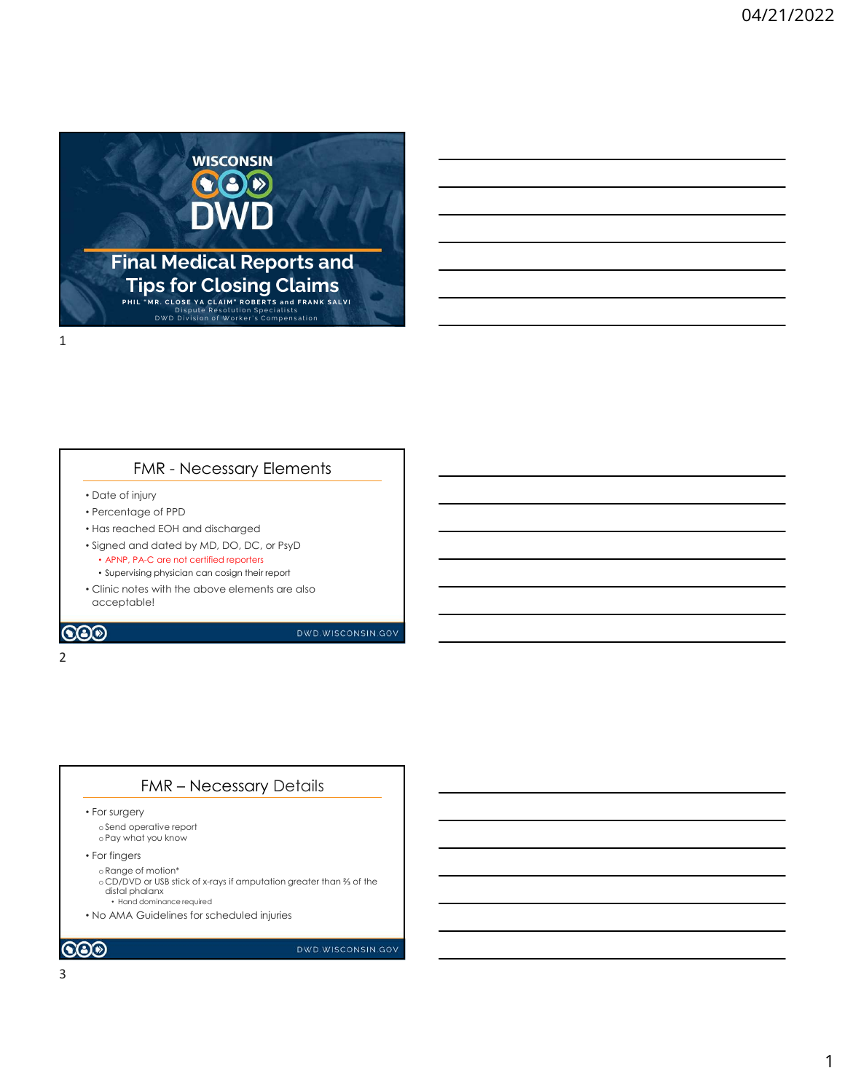

- Date of injury
- Percentage of PPD
- Has reached EOH and discharged

1

- Signed and dated by MD, DO, DC, or PsyD
	- APNP, PA-C are not certified reporters • Supervising physician can cosign their report
- Clinic notes with the above elements are also
- acceptable! MR – Necessary Elements<br>
Viry<br>
ye of PPD<br>
dided by MD, DO, DC, or PsyD<br>
k dided by MD, DO, DC, or PsyD<br>
k c are not certilled reports<br>
are physician can costan their report<br>
set with the above elements are also<br>
your wisco

## **COO**

#### 2 and 2 and 2 and 2 and 2 and 2 and 2 and 2 and 2 and 2 and 2 and 2 and 2 and 2 and 2 and 2 and 2 and 2 and 2

• For surgery

oSend operative report oPay what you know

• For fingers

oRange of motion\*

o CD/DVD or USB stick of x-rays if amputation greater than ⅔ of the distal phalanx • Hand dominance required

• No AMA Guidelines for scheduled injuries

 $\odot$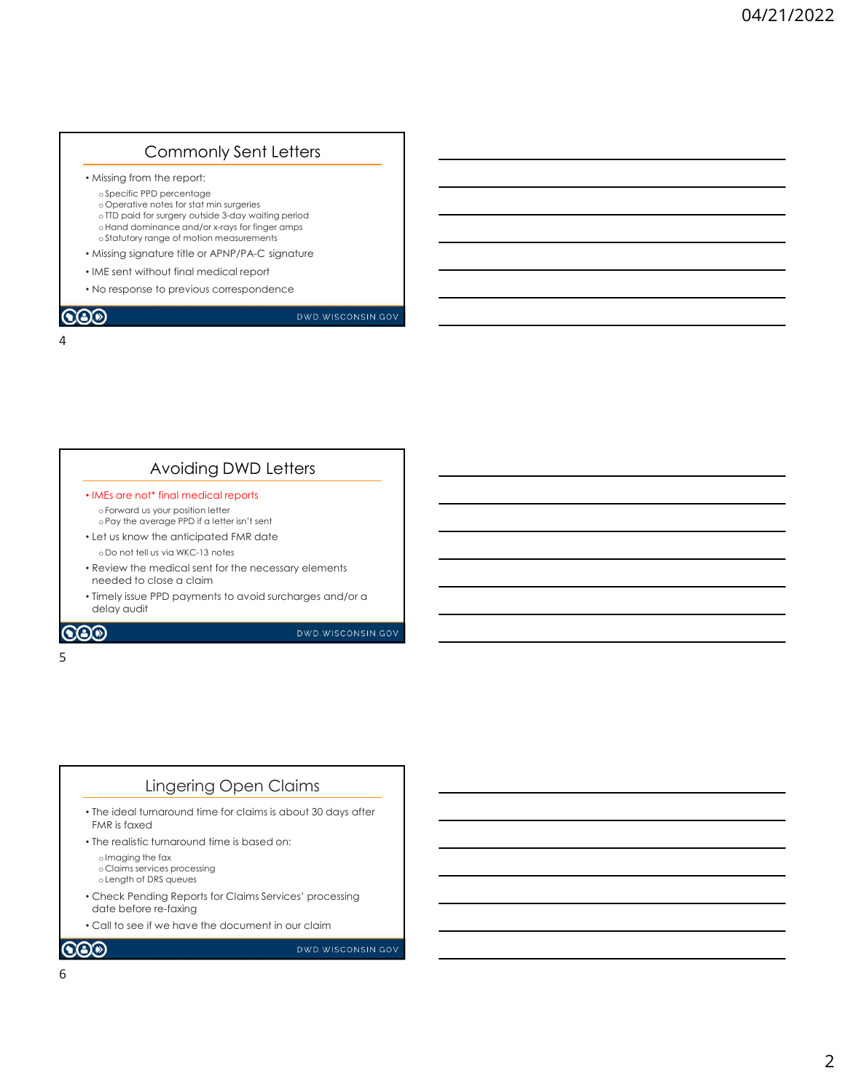## Commonly Sent Letters

- Missing from the report:
	- oSpecific PPD percentage o Operative notes for stat min surgeries oTTD paid for surgery outside 3-day waiting period oHand dominance and/or x-rays for finger amps oStatutory range of motion measurements and the control of the control of the control of the control of the control of the control of the control of the control of the control of the control of the control of the control o
- Missing signature title or APNP/PA-C signature
- IME sent without final medical report
- No response to previous correspondence

# 4

 $\bigcircledS$ 

DWD.WISCONSIN.GOV

## Avoiding DWD Letters

- IMEs are not\* final medical reports oForward us your position letter oPay the average PPD if a letter isn't sent
- Let us know the anticipated FMR date o Do not tell us via WKC-13 notes
- Review the medical sent for the necessary elements needed to close a claim
- Timely issue PPD payments to avoid surcharges and/or a delay audit

#### $\odot$

DWD.WISCONSIN.GOV

#### $5<sub>5</sub>$

## Lingering Open Claims

- The ideal turnaround time for claims is about 30 days after FMR is faxed
- The realistic turnaround time is based on:
	- oImaging the fax o Claims services processing
- oLength of DRS queues • Check Pending Reports for Claims Services' processing
- date before re-faxing
- Call to see if we have the document in our claim

**COD**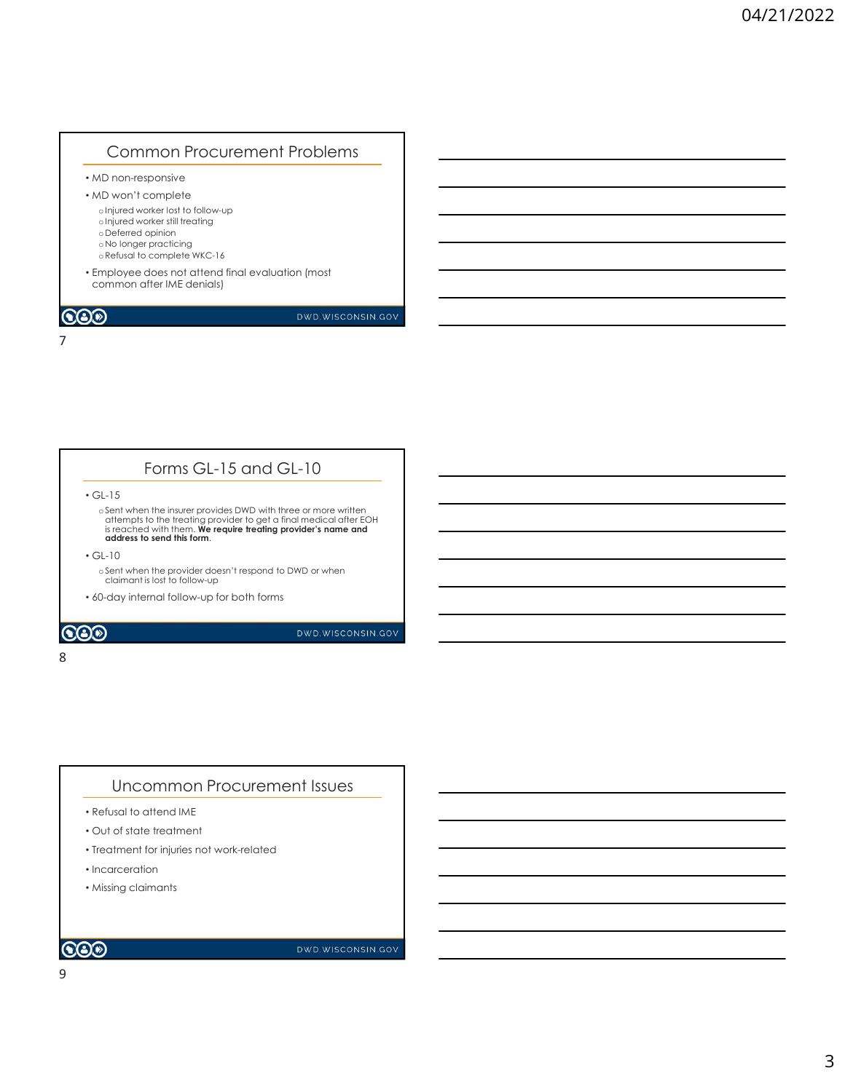# Common Procurement Problems

• MD non-responsive

• MD won't complete oInjured worker lost to follow-up oInjured worker still treating o Deferred opinion

- o No longer practicing
- oRefusal to complete WKC-16

7

• Employee does not attend final evaluation (most common after IME denials)

## $\bigcircledS$

DWD.WISCONSIN.GOV

# Forms GL-15 and GL-10

• GL-15

oSent when the insurer provides DWD with three or more written attempts to the treating provider to get a final medical after EOH is reached with them. We require treating provider's name and address to send this form.

• GL-10

oSent when the provider doesn't respond to DWD or when claimant is lost to follow-up

• 60-day internal follow-up for both forms

## $\odot$

DWD.WISCONSIN.GOV

#### 8 and 2010 and 2010 and 2010 and 2010 and 2010 and 2010 and 2010 and 2010 and 2010 and 2010 and 2010 and 2010

## Uncommon Procurement Issues

- Refusal to attend IME
- Out of state treatment
- Treatment for injuries not work-related
- Incarceration
- Missing claimants

#### $\bigcircledS$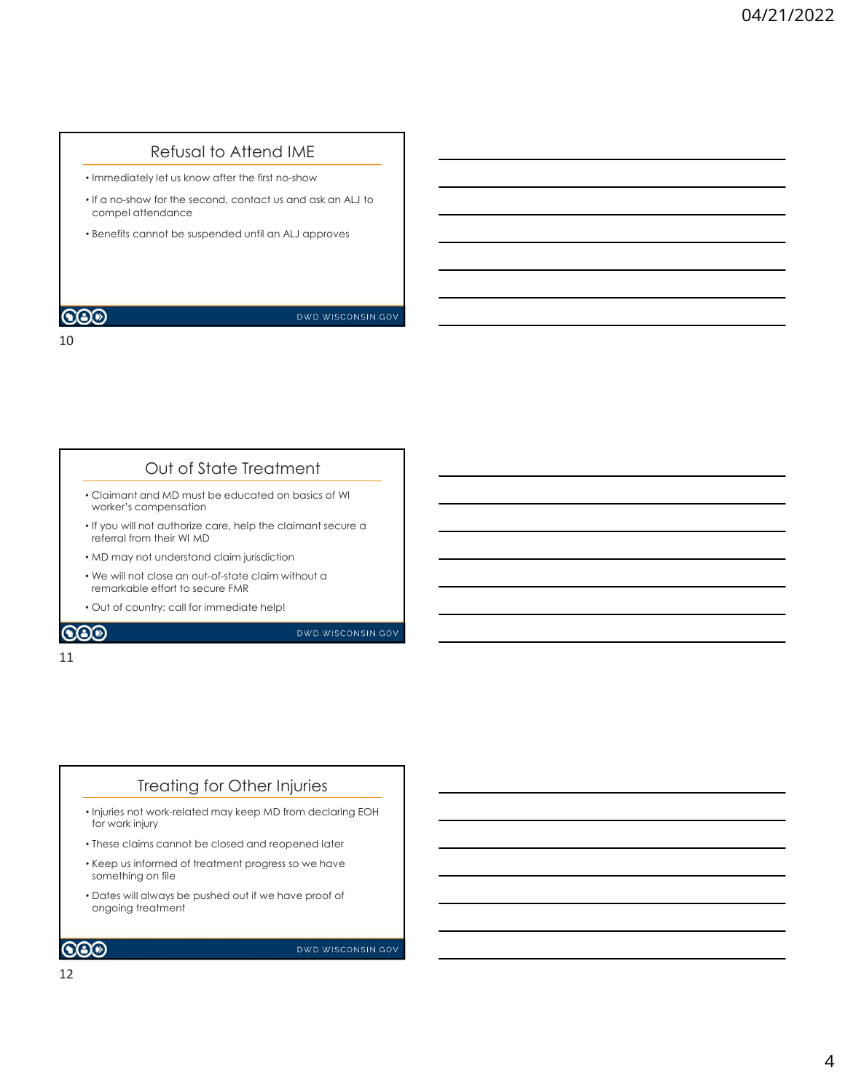## Refusal to Attend IME

• Immediately let us know after the first no-show

10

- If a no-show for the second, contact us and ask an ALJ to compel attendance
- Benefits cannot be suspended until an ALJ approves

### **COD**

DWD.WISCONSIN.GOV

### Out of State Treatment

- Claimant and MD must be educated on basics of WI worker's compensation
- If you will not authorize care, help the claimant secure a referral from their WI MD
- MD may not understand claim jurisdiction
- We will not close an out-of-state claim without a remarkable effort to secure FMR
- Out of country: call for immediate help!

#### $\bigcircledS$

DWD.WISCONSIN.GOV

#### 11

## Treating for Other Injuries

- Injuries not work-related may keep MD from declaring EOH for work injury
- These claims cannot be closed and reopened later
- Keep us informed of treatment progress so we have something on file
- Dates will always be pushed out if we have proof of ongoing treatment

## $\bigcircledS$